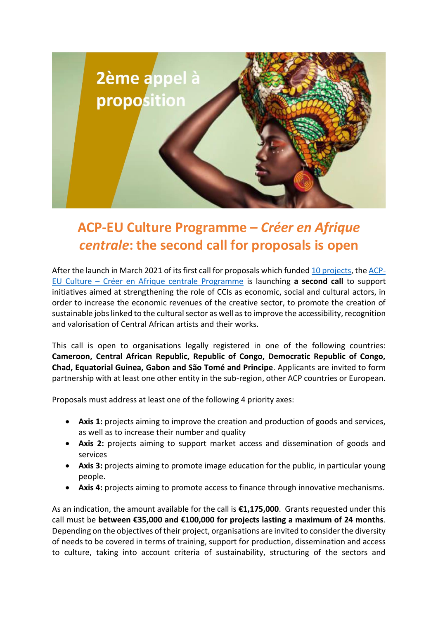

## **ACP-EU Culture Programme –** *Créer en Afrique centrale***: the second call for proposals is open**

After the launch in March 2021 of its first call for proposals which funde[d 10 projects,](https://acp-ue-culture-cac.eu/en/projects) th[e ACP-](https://www.acp-ue-culture.eu/en/)EU Culture – [Créer en Afrique centrale Programme](https://www.acp-ue-culture.eu/en/) is launching **a second call** to support initiatives aimed at strengthening the role of CCIs as economic, social and cultural actors, in order to increase the economic revenues of the creative sector, to promote the creation of sustainable jobs linked to the cultural sector as well as to improve the accessibility, recognition and valorisation of Central African artists and their works.

This call is open to organisations legally registered in one of the following countries: **Cameroon, Central African Republic, Republic of Congo, Democratic Republic of Congo, Chad, Equatorial Guinea, Gabon and São Tomé and Principe**. Applicants are invited to form partnership with at least one other entity in the sub-region, other ACP countries or European.

Proposals must address at least one of the following 4 priority axes:

- **Axis 1:** projects aiming to improve the creation and production of goods and services, as well as to increase their number and quality
- **Axis 2:** projects aiming to support market access and dissemination of goods and services
- **Axis 3:** projects aiming to promote image education for the public, in particular young people.
- **Axis 4:** projects aiming to promote access to finance through innovative mechanisms.

As an indication, the amount available for the call is **€1,175,000**. Grants requested under this call must be **between €35,000 and €100,000 for projects lasting a maximum of 24 months**. Depending on the objectives of their project, organisations are invited to consider the diversity of needs to be covered in terms of training, support for production, dissemination and access to culture, taking into account criteria of sustainability, structuring of the sectors and